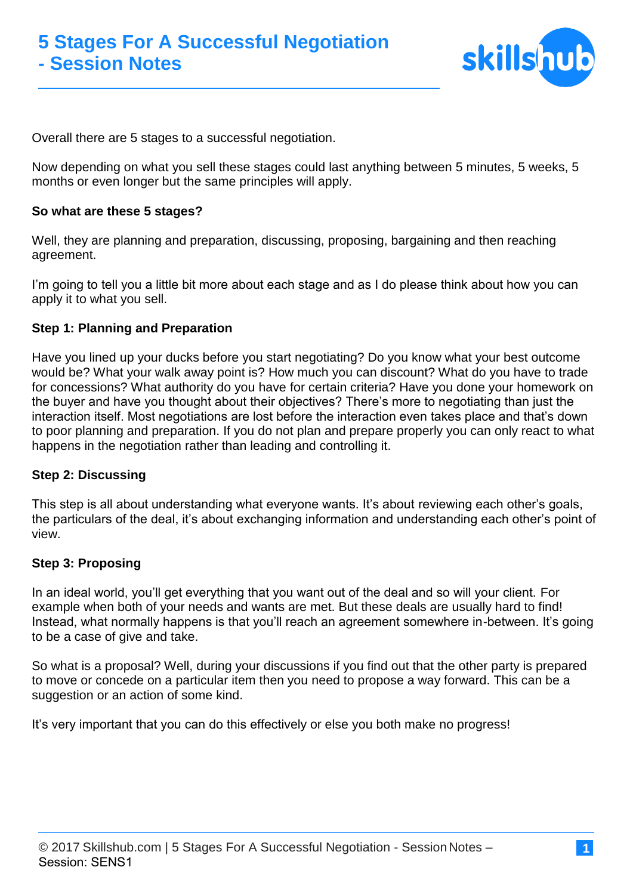

Overall there are 5 stages to a successful negotiation.

Now depending on what you sell these stages could last anything between 5 minutes, 5 weeks, 5 months or even longer but the same principles will apply.

### **So what are these 5 stages?**

Well, they are planning and preparation, discussing, proposing, bargaining and then reaching agreement.

I'm going to tell you a little bit more about each stage and as I do please think about how you can apply it to what you sell.

# **Step 1: Planning and Preparation**

Have you lined up your ducks before you start negotiating? Do you know what your best outcome would be? What your walk away point is? How much you can discount? What do you have to trade for concessions? What authority do you have for certain criteria? Have you done your homework on the buyer and have you thought about their objectives? There's more to negotiating than just the interaction itself. Most negotiations are lost before the interaction even takes place and that's down to poor planning and preparation. If you do not plan and prepare properly you can only react to what happens in the negotiation rather than leading and controlling it.

# **Step 2: Discussing**

This step is all about understanding what everyone wants. It's about reviewing each other's goals, the particulars of the deal, it's about exchanging information and understanding each other's point of view.

### **Step 3: Proposing**

In an ideal world, you'll get everything that you want out of the deal and so will your client. For example when both of your needs and wants are met. But these deals are usually hard to find! Instead, what normally happens is that you'll reach an agreement somewhere in-between. It's going to be a case of give and take.

So what is a proposal? Well, during your discussions if you find out that the other party is prepared to move or concede on a particular item then you need to propose a way forward. This can be a suggestion or an action of some kind.

It's very important that you can do this effectively or else you both make no progress!